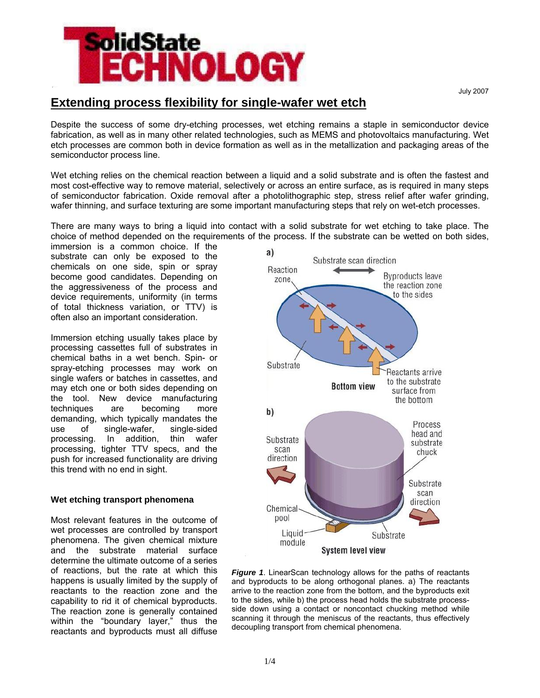

July 2007

# **Extending process flexibility for single-wafer wet etch**

Despite the success of some dry-etching processes, wet etching remains a staple in semiconductor device fabrication, as well as in many other related technologies, such as MEMS and photovoltaics manufacturing. Wet etch processes are common both in device formation as well as in the metallization and packaging areas of the semiconductor process line.

Wet etching relies on the chemical reaction between a liquid and a solid substrate and is often the fastest and most cost-effective way to remove material, selectively or across an entire surface, as is required in many steps of semiconductor fabrication. Oxide removal after a photolithographic step, stress relief after wafer grinding, wafer thinning, and surface texturing are some important manufacturing steps that rely on wet-etch processes.

There are many ways to bring a liquid into contact with a solid substrate for wet etching to take place. The choice of method depended on the requirements of the process. If the substrate can be wetted on both sides,

immersion is a common choice. If the substrate can only be exposed to the chemicals on one side, spin or spray become good candidates. Depending on the aggressiveness of the process and device requirements, uniformity (in terms of total thickness variation, or TTV) is often also an important consideration.

Immersion etching usually takes place by processing cassettes full of substrates in chemical baths in a wet bench. Spin- or spray-etching processes may work on single wafers or batches in cassettes, and may etch one or both sides depending on the tool. New device manufacturing techniques are becoming more demanding, which typically mandates the use of single-wafer, single-sided processing. In addition, thin wafer processing, tighter TTV specs, and the push for increased functionality are driving this trend with no end in sight.

## **Wet etching transport phenomena**

Most relevant features in the outcome of wet processes are controlled by transport phenomena. The given chemical mixture and the substrate material surface determine the ultimate outcome of a series of reactions, but the rate at which this happens is usually limited by the supply of reactants to the reaction zone and the capability to rid it of chemical byproducts. The reaction zone is generally contained within the "boundary layer," thus the reactants and byproducts must all diffuse



**Figure 1.** LinearScan technology allows for the paths of reactants and byproducts to be along orthogonal planes. a) The reactants arrive to the reaction zone from the bottom, and the byproducts exit to the sides, while b) the process head holds the substrate processside down using a contact or noncontact chucking method while scanning it through the meniscus of the reactants, thus effectively decoupling transport from chemical phenomena.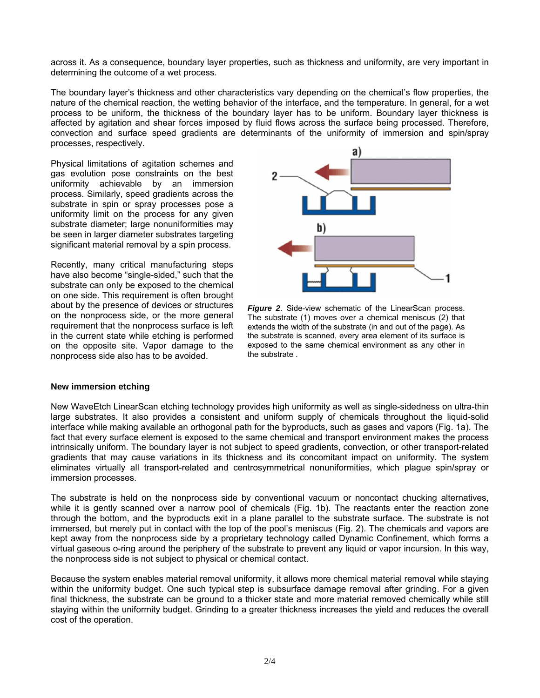across it. As a consequence, boundary layer properties, such as thickness and uniformity, are very important in determining the outcome of a wet process.

The boundary layer's thickness and other characteristics vary depending on the chemical's flow properties, the nature of the chemical reaction, the wetting behavior of the interface, and the temperature. In general, for a wet process to be uniform, the thickness of the boundary layer has to be uniform. Boundary layer thickness is affected by agitation and shear forces imposed by fluid flows across the surface being processed. Therefore, convection and surface speed gradients are determinants of the uniformity of immersion and spin/spray processes, respectively.

Physical limitations of agitation schemes and gas evolution pose constraints on the best uniformity achievable by an immersion process. Similarly, speed gradients across the substrate in spin or spray processes pose a uniformity limit on the process for any given substrate diameter; large nonuniformities may be seen in larger diameter substrates targeting significant material removal by a spin process.

Recently, many critical manufacturing steps have also become "single-sided," such that the substrate can only be exposed to the chemical on one side. This requirement is often brought about by the presence of devices or structures on the nonprocess side, or the more general requirement that the nonprocess surface is left in the current state while etching is performed on the opposite site. Vapor damage to the nonprocess side also has to be avoided.



**Figure 2.** Side-view schematic of the LinearScan process. The substrate (1) moves over a chemical meniscus (2) that extends the width of the substrate (in and out of the page). As the substrate is scanned, every area element of its surface is exposed to the same chemical environment as any other in the substrate .

#### **New immersion etching**

New WaveEtch LinearScan etching technology provides high uniformity as well as single-sidedness on ultra-thin large substrates. It also provides a consistent and uniform supply of chemicals throughout the liquid-solid interface while making available an orthogonal path for the byproducts, such as gases and vapors (Fig. 1a). The fact that every surface element is exposed to the same chemical and transport environment makes the process intrinsically uniform. The boundary layer is not subject to speed gradients, convection, or other transport-related gradients that may cause variations in its thickness and its concomitant impact on uniformity. The system eliminates virtually all transport-related and centrosymmetrical nonuniformities, which plague spin/spray or immersion processes.

The substrate is held on the nonprocess side by conventional vacuum or noncontact chucking alternatives, while it is gently scanned over a narrow pool of chemicals (Fig. 1b). The reactants enter the reaction zone through the bottom, and the byproducts exit in a plane parallel to the substrate surface. The substrate is not immersed, but merely put in contact with the top of the pool's meniscus (Fig. 2). The chemicals and vapors are kept away from the nonprocess side by a proprietary technology called Dynamic Confinement, which forms a virtual gaseous o-ring around the periphery of the substrate to prevent any liquid or vapor incursion. In this way, the nonprocess side is not subject to physical or chemical contact.

Because the system enables material removal uniformity, it allows more chemical material removal while staying within the uniformity budget. One such typical step is subsurface damage removal after grinding. For a given final thickness, the substrate can be ground to a thicker state and more material removed chemically while still staying within the uniformity budget. Grinding to a greater thickness increases the yield and reduces the overall cost of the operation.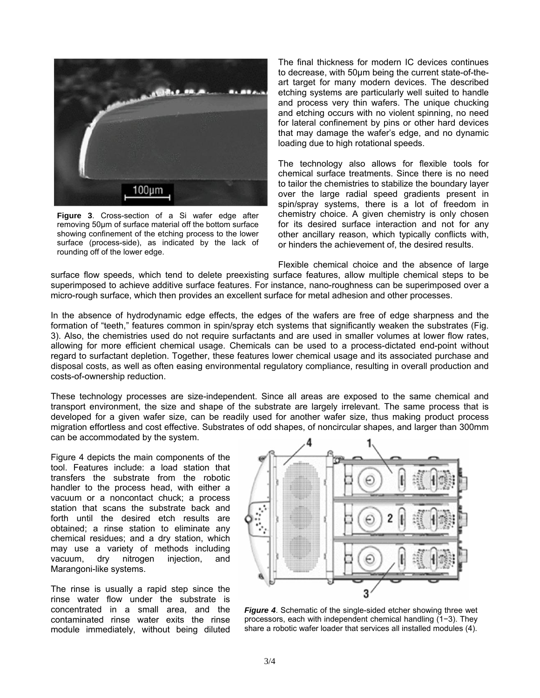

**Figure 3**. Cross-section of a Si wafer edge after removing 50µm of surface material off the bottom surface showing confinement of the etching process to the lower surface (process-side), as indicated by the lack of rounding off of the lower edge.

The final thickness for modern IC devices continues to decrease, with 50µm being the current state-of-theart target for many modern devices. The described etching systems are particularly well suited to handle and process very thin wafers. The unique chucking and etching occurs with no violent spinning, no need for lateral confinement by pins or other hard devices that may damage the wafer's edge, and no dynamic loading due to high rotational speeds.

The technology also allows for flexible tools for chemical surface treatments. Since there is no need to tailor the chemistries to stabilize the boundary layer over the large radial speed gradients present in spin/spray systems, there is a lot of freedom in chemistry choice. A given chemistry is only chosen for its desired surface interaction and not for any other ancillary reason, which typically conflicts with, or hinders the achievement of, the desired results.

Flexible chemical choice and the absence of large surface flow speeds, which tend to delete preexisting surface features, allow multiple chemical steps to be superimposed to achieve additive surface features. For instance, nano-roughness can be superimposed over a micro-rough surface, which then provides an excellent surface for metal adhesion and other processes.

In the absence of hydrodynamic edge effects, the edges of the wafers are free of edge sharpness and the formation of "teeth," features common in spin/spray etch systems that significantly weaken the substrates (Fig. 3). Also, the chemistries used do not require surfactants and are used in smaller volumes at lower flow rates, allowing for more efficient chemical usage. Chemicals can be used to a process-dictated end-point without regard to surfactant depletion. Together, these features lower chemical usage and its associated purchase and disposal costs, as well as often easing environmental regulatory compliance, resulting in overall production and costs-of-ownership reduction.

These technology processes are size-independent. Since all areas are exposed to the same chemical and transport environment, the size and shape of the substrate are largely irrelevant. The same process that is developed for a given wafer size, can be readily used for another wafer size, thus making product process migration effortless and cost effective. Substrates of odd shapes, of noncircular shapes, and larger than 300mm can be accommodated by the system.

Figure 4 depicts the main components of the tool. Features include: a load station that transfers the substrate from the robotic handler to the process head, with either a vacuum or a noncontact chuck; a process station that scans the substrate back and forth until the desired etch results are obtained; a rinse station to eliminate any chemical residues; and a dry station, which may use a variety of methods including vacuum, dry nitrogen injection, and Marangoni-like systems.

The rinse is usually a rapid step since the rinse water flow under the substrate is concentrated in a small area, and the contaminated rinse water exits the rinse module immediately, without being diluted



*Figure 4*. Schematic of the single-sided etcher showing three wet processors, each with independent chemical handling (1−3). They share a robotic wafer loader that services all installed modules (4).